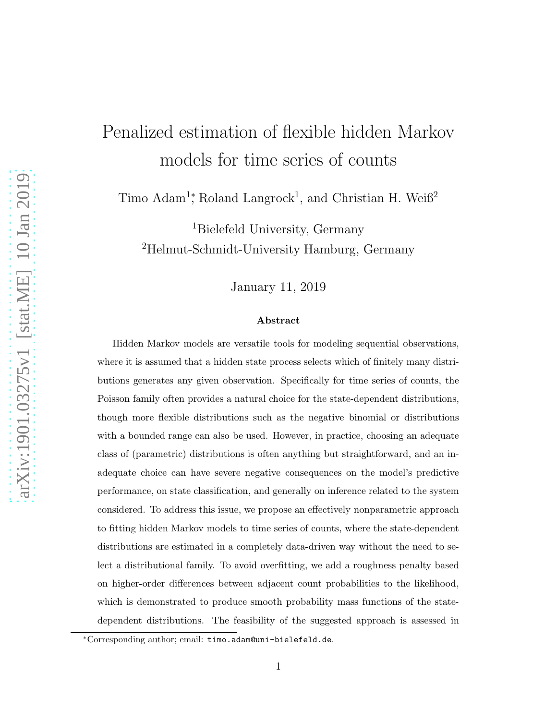# Penalized estimation of flexible hidden Markov models for time series of counts

Timo Adam<sup>1</sup><sup>\*</sup>, Roland Langrock<sup>1</sup>, and Christian H. Weiß<sup>2</sup>

<sup>1</sup>Bielefeld University, Germany <sup>2</sup>Helmut-Schmidt-University Hamburg, Germany

January 11, 2019

#### Abstract

Hidden Markov models are versatile tools for modeling sequential observations, where it is assumed that a hidden state process selects which of finitely many distributions generates any given observation. Specifically for time series of counts, the Poisson family often provides a natural choice for the state-dependent distributions, though more flexible distributions such as the negative binomial or distributions with a bounded range can also be used. However, in practice, choosing an adequate class of (parametric) distributions is often anything but straightforward, and an inadequate choice can have severe negative consequences on the model's predictive performance, on state classification, and generally on inference related to the system considered. To address this issue, we propose an effectively nonparametric approach to fitting hidden Markov models to time series of counts, where the state-dependent distributions are estimated in a completely data-driven way without the need to select a distributional family. To avoid overfitting, we add a roughness penalty based on higher-order differences between adjacent count probabilities to the likelihood, which is demonstrated to produce smooth probability mass functions of the statedependent distributions. The feasibility of the suggested approach is assessed in

<sup>∗</sup>Corresponding author; email: timo.adam@uni-bielefeld.de.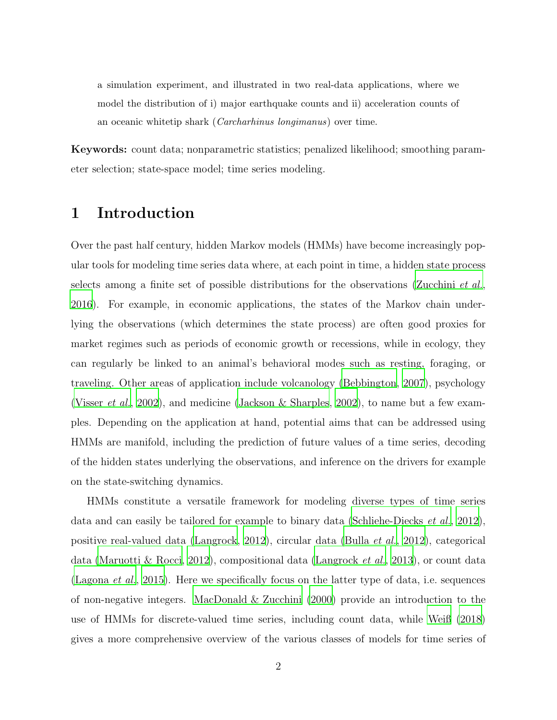a simulation experiment, and illustrated in two real-data applications, where we model the distribution of i) major earthquake counts and ii) acceleration counts of an oceanic whitetip shark (Carcharhinus longimanus) over time.

Keywords: count data; nonparametric statistics; penalized likelihood; smoothing parameter selection; state-space model; time series modeling.

# 1 Introduction

Over the past half century, hidden Markov models (HMMs) have become increasingly popular tools for modeling time series data where, at each point in time, a hidden state process selects among a finite set of possible distributions for the observations [\(Zucchini](#page-27-0) *et al.*, [2016\)](#page-27-0). For example, in economic applications, the states of the Markov chain underlying the observations (which determines the state process) are often good proxies for market regimes such as periods of economic growth or recessions, while in ecology, they can regularly be linked to an animal's behavioral modes such as resting, foraging, or traveling. Other areas of application include volcanology [\(Bebbington](#page-24-0), [2007\)](#page-24-0), psychology [\(Visser](#page-27-1) *et al.*, [2002](#page-27-1)), and medicine [\(Jackson & Sharples](#page-25-0), [2002\)](#page-25-0), to name but a few examples. Depending on the application at hand, potential aims that can be addressed using HMMs are manifold, including the prediction of future values of a time series, decoding of the hidden states underlying the observations, and inference on the drivers for example on the state-switching dynamics.

HMMs constitute a versatile framework for modeling diverse types of time series data and can easily be tailored for example to binary data [\(Schliehe-Diecks](#page-26-0) *et al.*, [2012](#page-26-0)), positive real-valued data [\(Langrock, 2012\)](#page-25-1), circular data [\(Bulla](#page-24-1) *et al.*, [2012](#page-24-1)), categorical data [\(Maruotti & Rocci](#page-26-1), [2012](#page-26-1)), compositional data [\(Langrock](#page-25-2) *et al.*, [2013](#page-25-2)), or count data [\(Lagona](#page-25-3) *et al.*, [2015](#page-25-3)). Here we specifically focus on the latter type of data, i.e. sequences of non-negative integers. [MacDonald & Zucchini \(2000](#page-26-2)) provide an introduction to the use of HMMs for discrete-valued time series, including count data, while [Weiß \(2018\)](#page-27-2) gives a more comprehensive overview of the various classes of models for time series of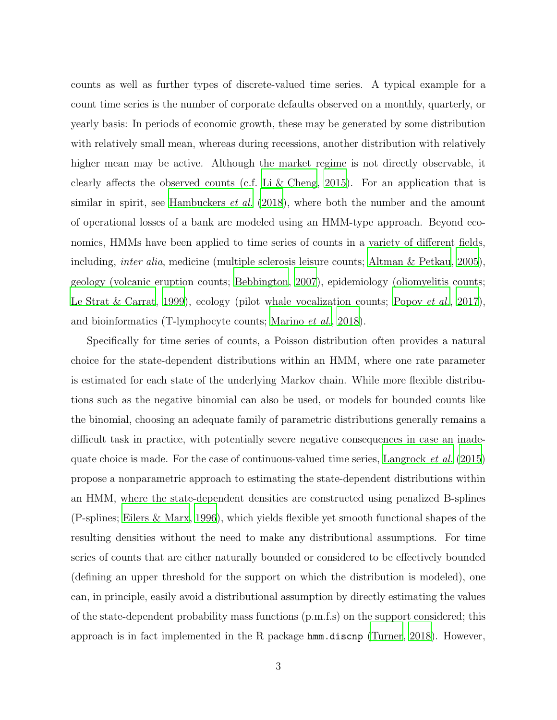counts as well as further types of discrete-valued time series. A typical example for a count time series is the number of corporate defaults observed on a monthly, quarterly, or yearly basis: In periods of economic growth, these may be generated by some distribution with relatively small mean, whereas during recessions, another distribution with relatively higher mean may be active. Although the market regime is not directly observable, it clearly affects the observed counts (c.f. [Li & Cheng](#page-26-3), [2015\)](#page-26-3). For an application that is similar in spirit, see [Hambuckers](#page-24-2) *et al.* [\(2018\)](#page-24-2), where both the number and the amount of operational losses of a bank are modeled using an HMM-type approach. Beyond economics, HMMs have been applied to time series of counts in a variety of different fields, including, *inter alia*, medicine (multiple sclerosis leisure counts; [Altman & Petkau, 2005](#page-24-3)), geology (volcanic eruption counts; [Bebbington](#page-24-0), [2007](#page-24-0)), epidemiology (oliomyelitis counts; [Le Strat & Carrat](#page-25-4), [1999\)](#page-25-4), ecology (pilot whale vocalization counts; [Popov](#page-26-4) *et al.*, [2017](#page-26-4)), and bioinformatics (T-lymphocyte counts; [Marino](#page-26-5) *et al.*, [2018\)](#page-26-5).

Specifically for time series of counts, a Poisson distribution often provides a natural choice for the state-dependent distributions within an HMM, where one rate parameter is estimated for each state of the underlying Markov chain. While more flexible distributions such as the negative binomial can also be used, or models for bounded counts like the binomial, choosing an adequate family of parametric distributions generally remains a difficult task in practice, with potentially severe negative consequences in case an inadequate choice is made. For the case of continuous-valued time series, [Langrock](#page-25-5) *et al.* [\(2015\)](#page-25-5) propose a nonparametric approach to estimating the state-dependent distributions within an HMM, where the state-dependent densities are constructed using penalized B-splines (P-splines; [Eilers & Marx](#page-24-4), [1996](#page-24-4)), which yields flexible yet smooth functional shapes of the resulting densities without the need to make any distributional assumptions. For time series of counts that are either naturally bounded or considered to be effectively bounded (defining an upper threshold for the support on which the distribution is modeled), one can, in principle, easily avoid a distributional assumption by directly estimating the values of the state-dependent probability mass functions (p.m.f.s) on the support considered; this approach is in fact implemented in the R package hmm.discnp [\(Turner](#page-27-3), [2018\)](#page-27-3). However,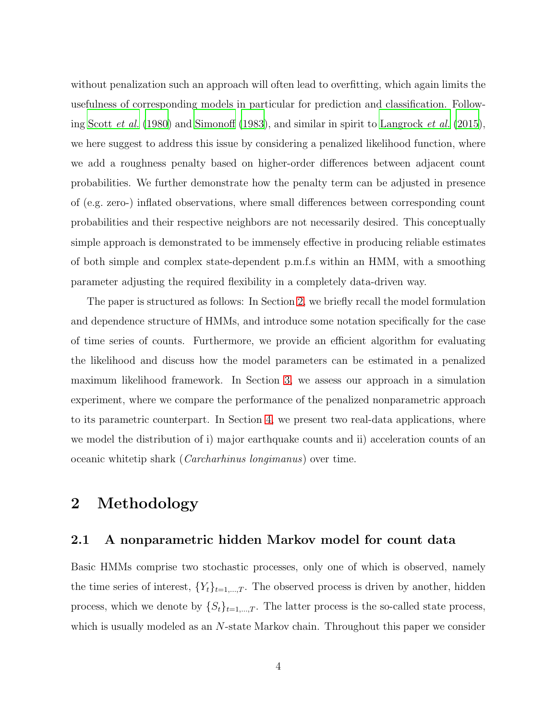without penalization such an approach will often lead to overfitting, which again limits the usefulness of corresponding models in particular for prediction and classification. Following [Scott](#page-27-4) *et al.* [\(1980\)](#page-27-4) and [Simonoff \(1983](#page-27-5)), and similar in spirit to [Langrock](#page-25-5) *et al.* [\(2015](#page-25-5)), we here suggest to address this issue by considering a penalized likelihood function, where we add a roughness penalty based on higher-order differences between adjacent count probabilities. We further demonstrate how the penalty term can be adjusted in presence of (e.g. zero-) inflated observations, where small differences between corresponding count probabilities and their respective neighbors are not necessarily desired. This conceptually simple approach is demonstrated to be immensely effective in producing reliable estimates of both simple and complex state-dependent p.m.f.s within an HMM, with a smoothing parameter adjusting the required flexibility in a completely data-driven way.

The paper is structured as follows: In Section [2,](#page-3-0) we briefly recall the model formulation and dependence structure of HMMs, and introduce some notation specifically for the case of time series of counts. Furthermore, we provide an efficient algorithm for evaluating the likelihood and discuss how the model parameters can be estimated in a penalized maximum likelihood framework. In Section [3,](#page-10-0) we assess our approach in a simulation experiment, where we compare the performance of the penalized nonparametric approach to its parametric counterpart. In Section [4,](#page-15-0) we present two real-data applications, where we model the distribution of i) major earthquake counts and ii) acceleration counts of an oceanic whitetip shark (*Carcharhinus longimanus*) over time.

# <span id="page-3-0"></span>2 Methodology

#### 2.1 A nonparametric hidden Markov model for count data

Basic HMMs comprise two stochastic processes, only one of which is observed, namely the time series of interest,  ${Y_t}_{t=1,\dots,T}$ . The observed process is driven by another, hidden process, which we denote by  $\{S_t\}_{t=1,\dots,T}$ . The latter process is the so-called state process, which is usually modeled as an N-state Markov chain. Throughout this paper we consider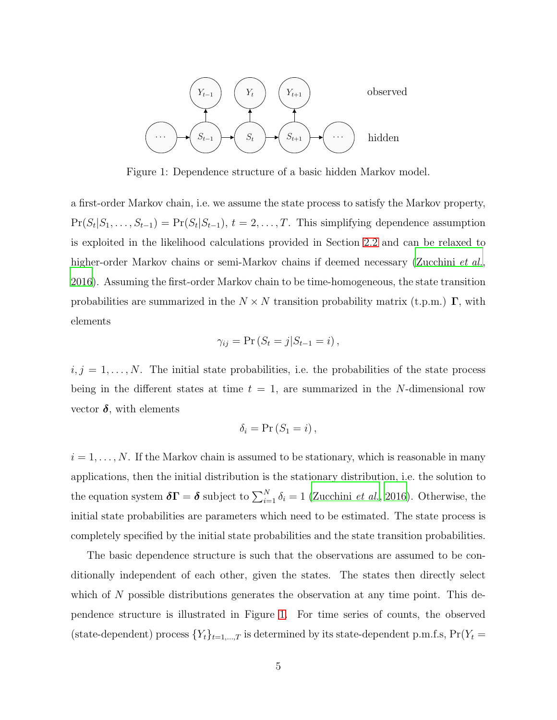

<span id="page-4-0"></span>Figure 1: Dependence structure of a basic hidden Markov model.

a first-order Markov chain, i.e. we assume the state process to satisfy the Markov property,  $Pr(S_t|S_1,\ldots,S_{t-1}) = Pr(S_t|S_{t-1}), t = 2,\ldots,T$ . This simplifying dependence assumption is exploited in the likelihood calculations provided in Section [2.2](#page-5-0) and can be relaxed to higher-order Markov chains or semi-Markov chains if deemed necessary [\(Zucchini](#page-27-0) *et al.*, [2016\)](#page-27-0). Assuming the first-order Markov chain to be time-homogeneous, the state transition probabilities are summarized in the  $N \times N$  transition probability matrix (t.p.m.)  $\Gamma$ , with elements

$$
\gamma_{ij} = \Pr\left(S_t = j | S_{t-1} = i\right),\,
$$

 $i, j = 1, \ldots, N$ . The initial state probabilities, i.e. the probabilities of the state process being in the different states at time  $t = 1$ , are summarized in the N-dimensional row vector  $\delta$ , with elements

$$
\delta_i = \Pr(S_1 = i),
$$

 $i = 1, \ldots, N$ . If the Markov chain is assumed to be stationary, which is reasonable in many applications, then the initial distribution is the stationary distribution, i.e. the solution to the equation system  $\delta \Gamma = \delta$  subject to  $\sum_{i=1}^{N} \delta_i = 1$  [\(Zucchini](#page-27-0) *et al.*, [2016\)](#page-27-0). Otherwise, the initial state probabilities are parameters which need to be estimated. The state process is completely specified by the initial state probabilities and the state transition probabilities.

The basic dependence structure is such that the observations are assumed to be conditionally independent of each other, given the states. The states then directly select which of  $N$  possible distributions generates the observation at any time point. This dependence structure is illustrated in Figure [1.](#page-4-0) For time series of counts, the observed (state-dependent) process  ${Y_t}_{t=1,\dots,T}$  is determined by its state-dependent p.m.f.s,  $Pr(Y_t =$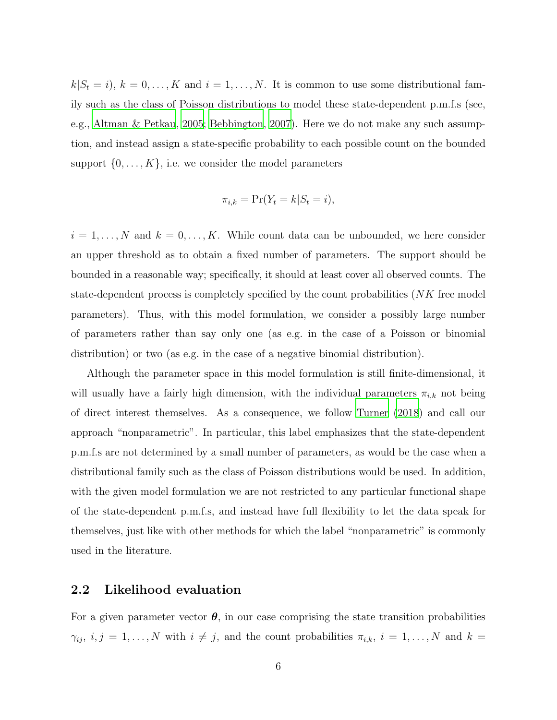$k|S_t = i$ ,  $k = 0, \ldots, K$  and  $i = 1, \ldots, N$ . It is common to use some distributional family such as the class of Poisson distributions to model these state-dependent p.m.f.s (see, e.g., [Altman & Petkau](#page-24-3), [2005;](#page-24-3) [Bebbington, 2007\)](#page-24-0). Here we do not make any such assumption, and instead assign a state-specific probability to each possible count on the bounded support  $\{0, \ldots, K\}$ , i.e. we consider the model parameters

$$
\pi_{i,k} = \Pr(Y_t = k | S_t = i),
$$

 $i = 1, \ldots, N$  and  $k = 0, \ldots, K$ . While count data can be unbounded, we here consider an upper threshold as to obtain a fixed number of parameters. The support should be bounded in a reasonable way; specifically, it should at least cover all observed counts. The state-dependent process is completely specified by the count probabilities (NK free model parameters). Thus, with this model formulation, we consider a possibly large number of parameters rather than say only one (as e.g. in the case of a Poisson or binomial distribution) or two (as e.g. in the case of a negative binomial distribution).

Although the parameter space in this model formulation is still finite-dimensional, it will usually have a fairly high dimension, with the individual parameters  $\pi_{i,k}$  not being of direct interest themselves. As a consequence, we follow [Turner](#page-27-3) [\(2018\)](#page-27-3) and call our approach "nonparametric". In particular, this label emphasizes that the state-dependent p.m.f.s are not determined by a small number of parameters, as would be the case when a distributional family such as the class of Poisson distributions would be used. In addition, with the given model formulation we are not restricted to any particular functional shape of the state-dependent p.m.f.s, and instead have full flexibility to let the data speak for themselves, just like with other methods for which the label "nonparametric" is commonly used in the literature.

### <span id="page-5-0"></span>2.2 Likelihood evaluation

For a given parameter vector  $\theta$ , in our case comprising the state transition probabilities  $\gamma_{ij}, i, j = 1, \ldots, N$  with  $i \neq j$ , and the count probabilities  $\pi_{i,k}, i = 1, \ldots, N$  and  $k =$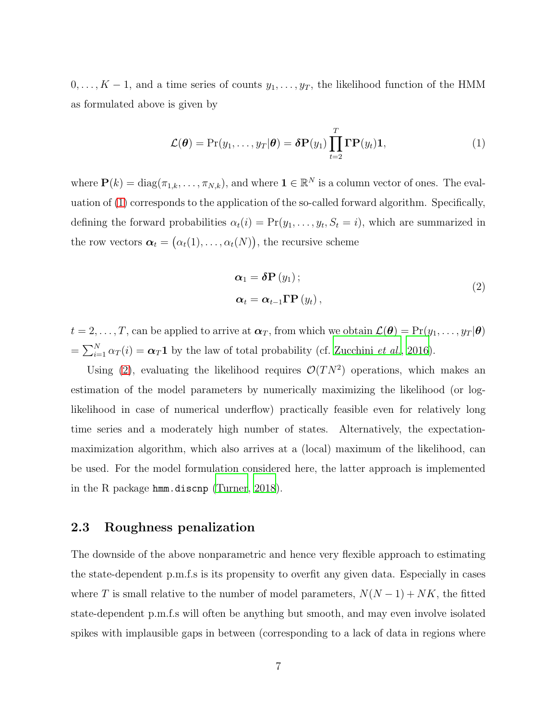$0, \ldots, K-1$ , and a time series of counts  $y_1, \ldots, y_T$ , the likelihood function of the HMM as formulated above is given by

<span id="page-6-0"></span>
$$
\mathcal{L}(\boldsymbol{\theta}) = \Pr(y_1, \dots, y_T | \boldsymbol{\theta}) = \boldsymbol{\delta} \mathbf{P}(y_1) \prod_{t=2}^T \mathbf{\Gamma} \mathbf{P}(y_t) \mathbf{1},
$$
\n(1)

where  $\mathbf{P}(k) = \text{diag}(\pi_{1,k}, \dots, \pi_{N,k})$ , and where  $\mathbf{1} \in \mathbb{R}^N$  is a column vector of ones. The evaluation of [\(1\)](#page-6-0) corresponds to the application of the so-called forward algorithm. Specifically, defining the forward probabilities  $\alpha_t(i) = \Pr(y_1, \ldots, y_t, S_t = i)$ , which are summarized in the row vectors  $\boldsymbol{\alpha}_t = (\alpha_t(1), \dots, \alpha_t(N))$ , the recursive scheme

<span id="page-6-1"></span>
$$
\alpha_{1} = \delta \mathbf{P}(y_{1});
$$
  
\n
$$
\alpha_{t} = \alpha_{t-1} \mathbf{\Gamma} \mathbf{P}(y_{t}),
$$
\n(2)

 $t = 2, \ldots, T$ , can be applied to arrive at  $\boldsymbol{\alpha}_T$ , from which we obtain  $\mathcal{L}(\boldsymbol{\theta}) = Pr(y_1, \ldots, y_T | \boldsymbol{\theta})$  $=\sum_{i=1}^{N} \alpha_T(i) = \alpha_T \mathbf{1}$  by the law of total probability (cf. [Zucchini](#page-27-0) *et al.*, [2016](#page-27-0)).

Using [\(2\)](#page-6-1), evaluating the likelihood requires  $\mathcal{O}(TN^2)$  operations, which makes an estimation of the model parameters by numerically maximizing the likelihood (or loglikelihood in case of numerical underflow) practically feasible even for relatively long time series and a moderately high number of states. Alternatively, the expectationmaximization algorithm, which also arrives at a (local) maximum of the likelihood, can be used. For the model formulation considered here, the latter approach is implemented in the R package hmm.discnp [\(Turner, 2018](#page-27-3)).

## 2.3 Roughness penalization

The downside of the above nonparametric and hence very flexible approach to estimating the state-dependent p.m.f.s is its propensity to overfit any given data. Especially in cases where  $T$  is small relative to the number of model parameters,  $N(N-1) + NK$ , the fitted state-dependent p.m.f.s will often be anything but smooth, and may even involve isolated spikes with implausible gaps in between (corresponding to a lack of data in regions where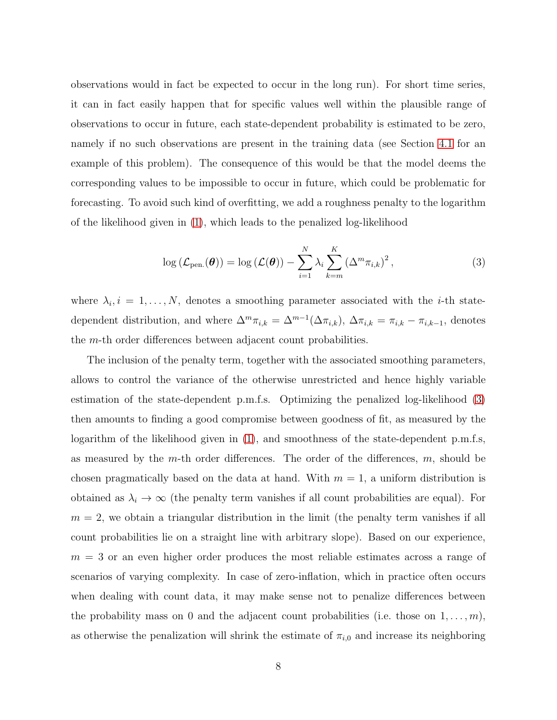observations would in fact be expected to occur in the long run). For short time series, it can in fact easily happen that for specific values well within the plausible range of observations to occur in future, each state-dependent probability is estimated to be zero, namely if no such observations are present in the training data (see Section [4.1](#page-15-1) for an example of this problem). The consequence of this would be that the model deems the corresponding values to be impossible to occur in future, which could be problematic for forecasting. To avoid such kind of overfitting, we add a roughness penalty to the logarithm of the likelihood given in [\(1\)](#page-6-0), which leads to the penalized log-likelihood

<span id="page-7-0"></span>
$$
\log\left(\mathcal{L}_{pen.}(\boldsymbol{\theta})\right) = \log\left(\mathcal{L}(\boldsymbol{\theta})\right) - \sum_{i=1}^{N} \lambda_i \sum_{k=m}^{K} \left(\Delta^m \pi_{i,k}\right)^2, \tag{3}
$$

where  $\lambda_i, i = 1, \ldots, N$ , denotes a smoothing parameter associated with the *i*-th statedependent distribution, and where  $\Delta^m \pi_{i,k} = \Delta^{m-1}(\Delta \pi_{i,k}), \Delta \pi_{i,k} = \pi_{i,k} - \pi_{i,k-1}$ , denotes the m-th order differences between adjacent count probabilities.

The inclusion of the penalty term, together with the associated smoothing parameters, allows to control the variance of the otherwise unrestricted and hence highly variable estimation of the state-dependent p.m.f.s. Optimizing the penalized log-likelihood [\(3\)](#page-7-0) then amounts to finding a good compromise between goodness of fit, as measured by the logarithm of the likelihood given in [\(1\)](#page-6-0), and smoothness of the state-dependent p.m.f.s, as measured by the m-th order differences. The order of the differences, m, should be chosen pragmatically based on the data at hand. With  $m = 1$ , a uniform distribution is obtained as  $\lambda_i \to \infty$  (the penalty term vanishes if all count probabilities are equal). For  $m = 2$ , we obtain a triangular distribution in the limit (the penalty term vanishes if all count probabilities lie on a straight line with arbitrary slope). Based on our experience,  $m = 3$  or an even higher order produces the most reliable estimates across a range of scenarios of varying complexity. In case of zero-inflation, which in practice often occurs when dealing with count data, it may make sense not to penalize differences between the probability mass on 0 and the adjacent count probabilities (i.e. those on  $1, \ldots, m$ ), as otherwise the penalization will shrink the estimate of  $\pi_{i,0}$  and increase its neighboring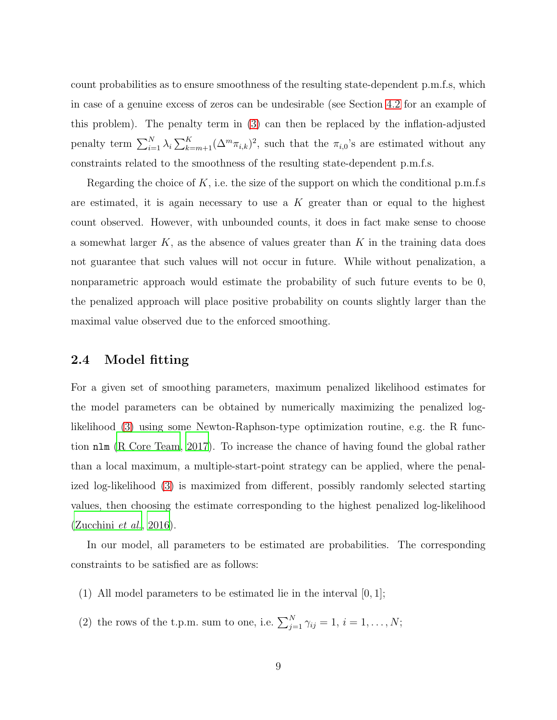count probabilities as to ensure smoothness of the resulting state-dependent p.m.f.s, which in case of a genuine excess of zeros can be undesirable (see Section [4.2](#page-18-0) for an example of this problem). The penalty term in [\(3\)](#page-7-0) can then be replaced by the inflation-adjusted penalty term  $\sum_{i=1}^{N} \lambda_i \sum_{k=m+1}^{K} (\Delta^m \pi_{i,k})^2$ , such that the  $\pi_{i,0}$ 's are estimated without any constraints related to the smoothness of the resulting state-dependent p.m.f.s.

Regarding the choice of K, i.e. the size of the support on which the conditional p.m.f.s are estimated, it is again necessary to use a  $K$  greater than or equal to the highest count observed. However, with unbounded counts, it does in fact make sense to choose a somewhat larger  $K$ , as the absence of values greater than  $K$  in the training data does not guarantee that such values will not occur in future. While without penalization, a nonparametric approach would estimate the probability of such future events to be 0, the penalized approach will place positive probability on counts slightly larger than the maximal value observed due to the enforced smoothing.

## 2.4 Model fitting

For a given set of smoothing parameters, maximum penalized likelihood estimates for the model parameters can be obtained by numerically maximizing the penalized loglikelihood [\(3\)](#page-7-0) using some Newton-Raphson-type optimization routine, e.g. the R function nlm [\(R Core Team](#page-26-6), [2017\)](#page-26-6). To increase the chance of having found the global rather than a local maximum, a multiple-start-point strategy can be applied, where the penalized log-likelihood [\(3\)](#page-7-0) is maximized from different, possibly randomly selected starting values, then choosing the estimate corresponding to the highest penalized log-likelihood [\(Zucchini](#page-27-0) *et al.*, [2016](#page-27-0)).

In our model, all parameters to be estimated are probabilities. The corresponding constraints to be satisfied are as follows:

- (1) All model parameters to be estimated lie in the interval  $[0, 1]$ ;
- (2) the rows of the t.p.m. sum to one, i.e.  $\sum_{j=1}^{N} \gamma_{ij} = 1, i = 1, \ldots, N;$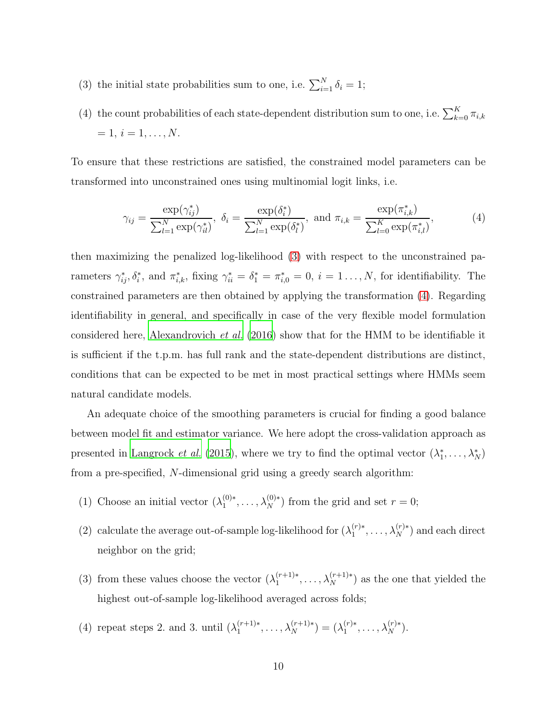- (3) the initial state probabilities sum to one, i.e.  $\sum_{i=1}^{N} \delta_i = 1$ ;
- (4) the count probabilities of each state-dependent distribution sum to one, i.e.  $\sum_{k=0}^{K} \pi_{i,k}$  $= 1, i = 1, \ldots, N.$

To ensure that these restrictions are satisfied, the constrained model parameters can be transformed into unconstrained ones using multinomial logit links, i.e.

<span id="page-9-0"></span>
$$
\gamma_{ij} = \frac{\exp(\gamma_{ij}^*)}{\sum_{l=1}^N \exp(\gamma_{il}^*)}, \ \delta_i = \frac{\exp(\delta_i^*)}{\sum_{l=1}^N \exp(\delta_l^*)}, \ \text{and} \ \pi_{i,k} = \frac{\exp(\pi_{i,k}^*)}{\sum_{l=0}^K \exp(\pi_{i,l}^*)}, \tag{4}
$$

then maximizing the penalized log-likelihood [\(3\)](#page-7-0) with respect to the unconstrained parameters  $\gamma_{ij}^*, \delta_i^*$ , and  $\pi_{i,k}^*$ , fixing  $\gamma_{ii}^* = \delta_1^* = \pi_{i,0}^* = 0$ ,  $i = 1 \ldots, N$ , for identifiability. The constrained parameters are then obtained by applying the transformation [\(4\)](#page-9-0). Regarding identifiability in general, and specifically in case of the very flexible model formulation considered here, [Alexandrovich](#page-24-5) *et al.* [\(2016](#page-24-5)) show that for the HMM to be identifiable it is sufficient if the t.p.m. has full rank and the state-dependent distributions are distinct, conditions that can be expected to be met in most practical settings where HMMs seem natural candidate models.

An adequate choice of the smoothing parameters is crucial for finding a good balance between model fit and estimator variance. We here adopt the cross-validation approach as presented in [Langrock](#page-25-5) *et al.* [\(2015\)](#page-25-5), where we try to find the optimal vector  $(\lambda_1^*, \ldots, \lambda_N^*)$ from a pre-specified, N-dimensional grid using a greedy search algorithm:

- (1) Choose an initial vector  $(\lambda_1^{(0)*})$  $\lambda_1^{(0)*}, \ldots, \lambda_N^{(0)*}$  from the grid and set  $r = 0$ ;
- (2) calculate the average out-of-sample log-likelihood for  $(\lambda_1^{(r)*}$  $\lambda_1^{(r)*}, \ldots, \lambda_N^{(r)*}$  and each direct neighbor on the grid;
- (3) from these values choose the vector  $(\lambda_1^{(r+1)*}$  $\lambda_1^{(r+1)*}, \ldots, \lambda_N^{(r+1)*}$  as the one that yielded the highest out-of-sample log-likelihood averaged across folds;
- (4) repeat steps 2. and 3. until  $(\lambda_1^{(r+1)*}$  $\lambda_1^{(r+1)*}, \ldots, \lambda_N^{(r+1)*}$  =  $(\lambda_1^{(r)*}$  $1^{(r)*}, \ldots, \lambda_N^{(r)*}.$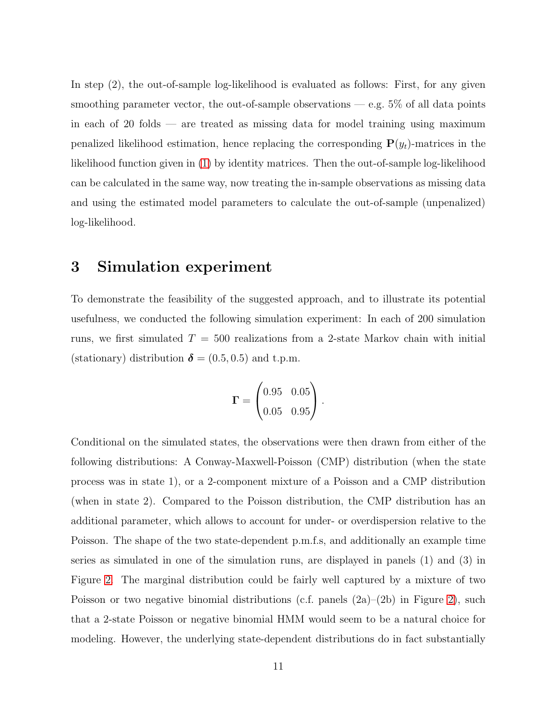In step (2), the out-of-sample log-likelihood is evaluated as follows: First, for any given smoothing parameter vector, the out-of-sample observations — e.g.  $5\%$  of all data points in each of 20 folds — are treated as missing data for model training using maximum penalized likelihood estimation, hence replacing the corresponding  $P(y_t)$ -matrices in the likelihood function given in [\(1\)](#page-6-0) by identity matrices. Then the out-of-sample log-likelihood can be calculated in the same way, now treating the in-sample observations as missing data and using the estimated model parameters to calculate the out-of-sample (unpenalized) log-likelihood.

## <span id="page-10-0"></span>3 Simulation experiment

To demonstrate the feasibility of the suggested approach, and to illustrate its potential usefulness, we conducted the following simulation experiment: In each of 200 simulation runs, we first simulated  $T = 500$  realizations from a 2-state Markov chain with initial (stationary) distribution  $\delta = (0.5, 0.5)$  and t.p.m.

$$
\mathbf{\Gamma} = \begin{pmatrix} 0.95 & 0.05 \\ 0.05 & 0.95 \end{pmatrix}.
$$

Conditional on the simulated states, the observations were then drawn from either of the following distributions: A Conway-Maxwell-Poisson (CMP) distribution (when the state process was in state 1), or a 2-component mixture of a Poisson and a CMP distribution (when in state 2). Compared to the Poisson distribution, the CMP distribution has an additional parameter, which allows to account for under- or overdispersion relative to the Poisson. The shape of the two state-dependent p.m.f.s, and additionally an example time series as simulated in one of the simulation runs, are displayed in panels (1) and (3) in Figure [2.](#page-11-0) The marginal distribution could be fairly well captured by a mixture of two Poisson or two negative binomial distributions (c.f. panels  $(2a)-(2b)$ ) in Figure [2\)](#page-11-0), such that a 2-state Poisson or negative binomial HMM would seem to be a natural choice for modeling. However, the underlying state-dependent distributions do in fact substantially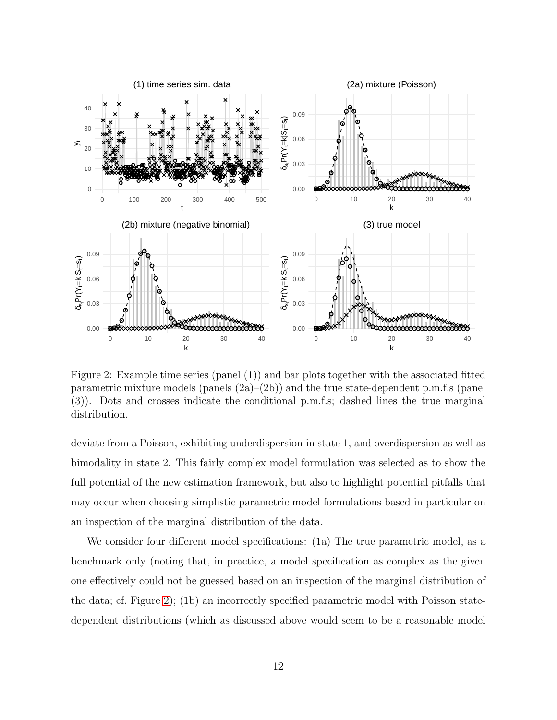

<span id="page-11-0"></span>Figure 2: Example time series (panel (1)) and bar plots together with the associated fitted parametric mixture models (panels  $(2a)$ – $(2b)$ ) and the true state-dependent p.m.f.s (panel (3)). Dots and crosses indicate the conditional p.m.f.s; dashed lines the true marginal distribution.

deviate from a Poisson, exhibiting underdispersion in state 1, and overdispersion as well as bimodality in state 2. This fairly complex model formulation was selected as to show the full potential of the new estimation framework, but also to highlight potential pitfalls that may occur when choosing simplistic parametric model formulations based in particular on an inspection of the marginal distribution of the data.

We consider four different model specifications: (1a) The true parametric model, as a benchmark only (noting that, in practice, a model specification as complex as the given one effectively could not be guessed based on an inspection of the marginal distribution of the data; cf. Figure [2\)](#page-11-0); (1b) an incorrectly specified parametric model with Poisson statedependent distributions (which as discussed above would seem to be a reasonable model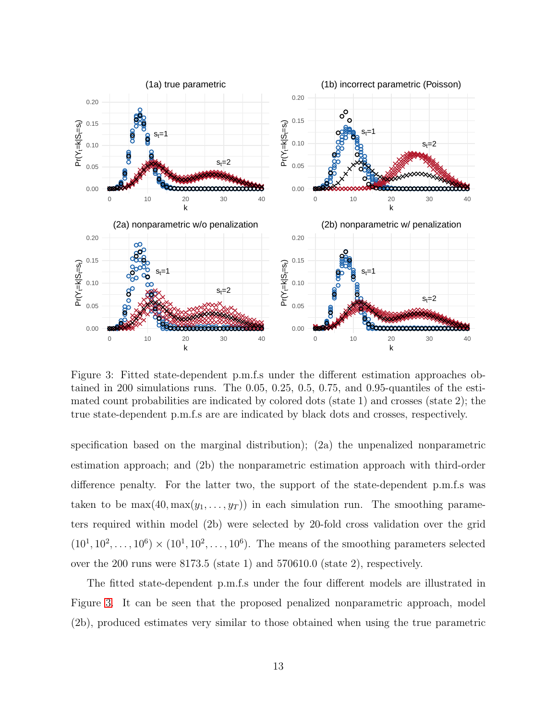

<span id="page-12-0"></span>Figure 3: Fitted state-dependent p.m.f.s under the different estimation approaches obtained in 200 simulations runs. The 0.05, 0.25, 0.5, 0.75, and 0.95-quantiles of the estimated count probabilities are indicated by colored dots (state 1) and crosses (state 2); the true state-dependent p.m.f.s are are indicated by black dots and crosses, respectively.

specification based on the marginal distribution); (2a) the unpenalized nonparametric estimation approach; and (2b) the nonparametric estimation approach with third-order difference penalty. For the latter two, the support of the state-dependent p.m.f.s was taken to be  $\max(40, \max(y_1, \ldots, y_T))$  in each simulation run. The smoothing parameters required within model (2b) were selected by 20-fold cross validation over the grid  $(10^1, 10^2, \ldots, 10^6) \times (10^1, 10^2, \ldots, 10^6)$ . The means of the smoothing parameters selected over the 200 runs were 8173.5 (state 1) and 570610.0 (state 2), respectively.

The fitted state-dependent p.m.f.s under the four different models are illustrated in Figure [3.](#page-12-0) It can be seen that the proposed penalized nonparametric approach, model (2b), produced estimates very similar to those obtained when using the true parametric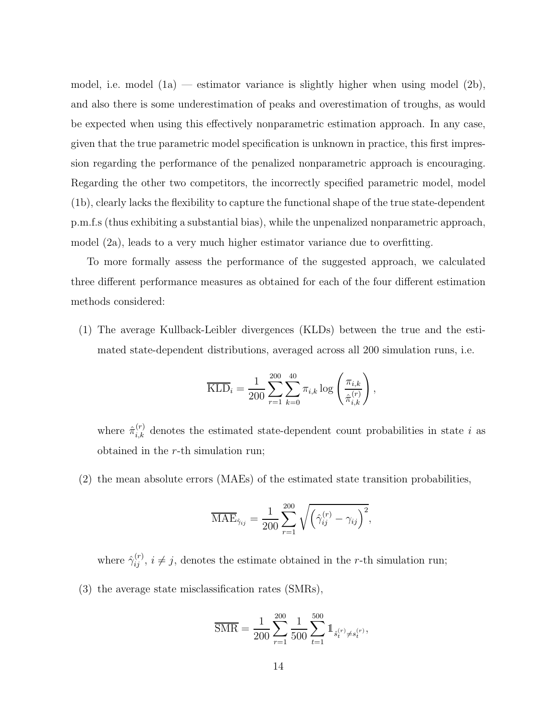model, i.e. model  $(1a)$  — estimator variance is slightly higher when using model  $(2b)$ , and also there is some underestimation of peaks and overestimation of troughs, as would be expected when using this effectively nonparametric estimation approach. In any case, given that the true parametric model specification is unknown in practice, this first impression regarding the performance of the penalized nonparametric approach is encouraging. Regarding the other two competitors, the incorrectly specified parametric model, model (1b), clearly lacks the flexibility to capture the functional shape of the true state-dependent p.m.f.s (thus exhibiting a substantial bias), while the unpenalized nonparametric approach, model (2a), leads to a very much higher estimator variance due to overfitting.

To more formally assess the performance of the suggested approach, we calculated three different performance measures as obtained for each of the four different estimation methods considered:

(1) The average Kullback-Leibler divergences (KLDs) between the true and the estimated state-dependent distributions, averaged across all 200 simulation runs, i.e.

$$
\overline{\text{KLD}}_{i} = \frac{1}{200} \sum_{r=1}^{200} \sum_{k=0}^{40} \pi_{i,k} \log \left( \frac{\pi_{i,k}}{\hat{\pi}_{i,k}^{(r)}} \right),
$$

where  $\hat{\pi}_{i,k}^{(r)}$  denotes the estimated state-dependent count probabilities in state i as obtained in the r-th simulation run;

(2) the mean absolute errors (MAEs) of the estimated state transition probabilities,

$$
\overline{\text{MAE}}_{\hat{\gamma}_{ij}} = \frac{1}{200} \sum_{r=1}^{200} \sqrt{\left(\hat{\gamma}_{ij}^{(r)} - \gamma_{ij}\right)^2},
$$

where  $\hat{\gamma}_{ij}^{(r)}$ ,  $i \neq j$ , denotes the estimate obtained in the r-th simulation run;

(3) the average state misclassification rates (SMRs),

$$
\overline{\text{SMR}} = \frac{1}{200} \sum_{r=1}^{200} \frac{1}{500} \sum_{t=1}^{500} \mathbb{1}_{\hat{s}_t^{(r)} \neq s_t^{(r)}},
$$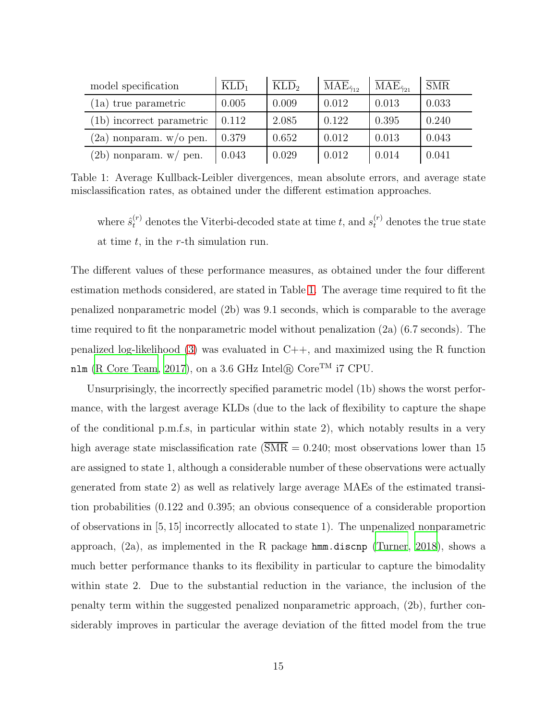| model specification       | $\text{KLD}_1$ | $\overline{\mathrm{KLD}}_2$ | $\overline{\rm MAE}_{\hat{\gamma}_{12}}$ | $\overline{\rm MAE}_{\hat{\gamma}_{21}}$ | $\overline{\text{SMR}}$ |
|---------------------------|----------------|-----------------------------|------------------------------------------|------------------------------------------|-------------------------|
| (1a) true parametric      | 0.005          | 0.009                       | 0.012                                    | 0.013                                    | 0.033                   |
| (1b) incorrect parametric | 0.112          | 2.085                       | 0.122                                    | 0.395                                    | 0.240                   |
| $(2a)$ nonparam. w/o pen. | 0.379          | 0.652                       | 0.012                                    | 0.013                                    | 0.043                   |
| $(2b)$ nonparam. w/ pen.  | 0.043          | 0.029                       | 0.012                                    | 0.014                                    | 0.041                   |

Table 1: Average Kullback-Leibler divergences, mean absolute errors, and average state misclassification rates, as obtained under the different estimation approaches.

<span id="page-14-0"></span>where  $\hat{s}_{t}^{(r)}$  denotes the Viterbi-decoded state at time t, and  $s_{t}^{(r)}$  denotes the true state at time  $t$ , in the r-th simulation run.

The different values of these performance measures, as obtained under the four different estimation methods considered, are stated in Table [1.](#page-14-0) The average time required to fit the penalized nonparametric model (2b) was 9.1 seconds, which is comparable to the average time required to fit the nonparametric model without penalization (2a) (6.7 seconds). The penalized log-likelihood [\(3\)](#page-7-0) was evaluated in C++, and maximized using the R function nlm [\(R Core Team, 2017](#page-26-6)), on a 3.6 GHz Intel $\circledR$  Core<sup>TM</sup> i7 CPU.

Unsurprisingly, the incorrectly specified parametric model (1b) shows the worst performance, with the largest average KLDs (due to the lack of flexibility to capture the shape of the conditional p.m.f.s, in particular within state 2), which notably results in a very high average state misclassification rate ( $\overline{\text{SMR}} = 0.240$ ; most observations lower than 15 are assigned to state 1, although a considerable number of these observations were actually generated from state 2) as well as relatively large average MAEs of the estimated transition probabilities (0.122 and 0.395; an obvious consequence of a considerable proportion of observations in [5, 15] incorrectly allocated to state 1). The unpenalized nonparametric approach,  $(2a)$ , as implemented in the R package hmm.discnp [\(Turner, 2018](#page-27-3)), shows a much better performance thanks to its flexibility in particular to capture the bimodality within state 2. Due to the substantial reduction in the variance, the inclusion of the penalty term within the suggested penalized nonparametric approach, (2b), further considerably improves in particular the average deviation of the fitted model from the true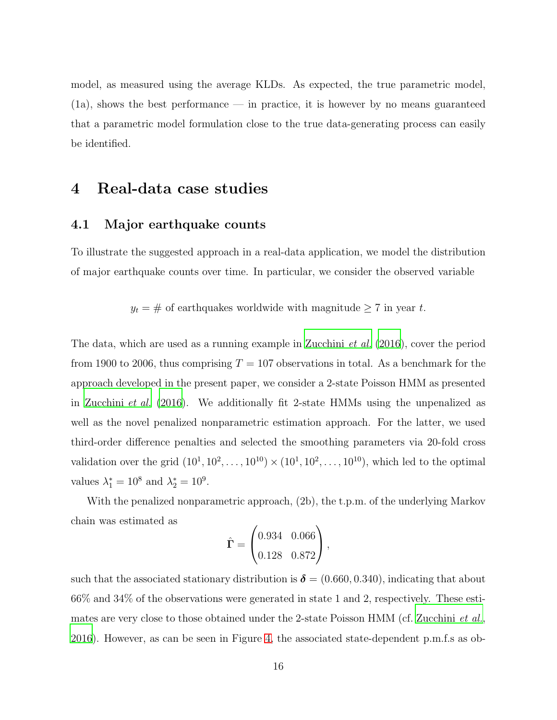model, as measured using the average KLDs. As expected, the true parametric model, (1a), shows the best performance — in practice, it is however by no means guaranteed that a parametric model formulation close to the true data-generating process can easily be identified.

## <span id="page-15-1"></span><span id="page-15-0"></span>4 Real-data case studies

### 4.1 Major earthquake counts

To illustrate the suggested approach in a real-data application, we model the distribution of major earthquake counts over time. In particular, we consider the observed variable

 $y_t = #$  of earthquakes worldwide with magnitude  $\geq 7$  in year t.

The data, which are used as a running example in [Zucchini](#page-27-0) *et al.* [\(2016](#page-27-0)), cover the period from 1900 to 2006, thus comprising  $T = 107$  observations in total. As a benchmark for the approach developed in the present paper, we consider a 2-state Poisson HMM as presented in [Zucchini](#page-27-0) *et al.* [\(2016\)](#page-27-0). We additionally fit 2-state HMMs using the unpenalized as well as the novel penalized nonparametric estimation approach. For the latter, we used third-order difference penalties and selected the smoothing parameters via 20-fold cross validation over the grid  $(10^1, 10^2, ..., 10^{10}) \times (10^1, 10^2, ..., 10^{10})$ , which led to the optimal values  $\lambda_1^* = 10^8$  and  $\lambda_2^* = 10^9$ .

With the penalized nonparametric approach, (2b), the t.p.m. of the underlying Markov chain was estimated as

$$
\hat{\mathbf{\Gamma}} = \begin{pmatrix} 0.934 & 0.066 \\ 0.128 & 0.872 \end{pmatrix},
$$

such that the associated stationary distribution is  $\delta = (0.660, 0.340)$ , indicating that about 66% and 34% of the observations were generated in state 1 and 2, respectively. These estimates are very close to those obtained under the 2-state Poisson HMM (cf. [Zucchini](#page-27-0) *et al.*, [2016\)](#page-27-0). However, as can be seen in Figure [4,](#page-16-0) the associated state-dependent p.m.f.s as ob-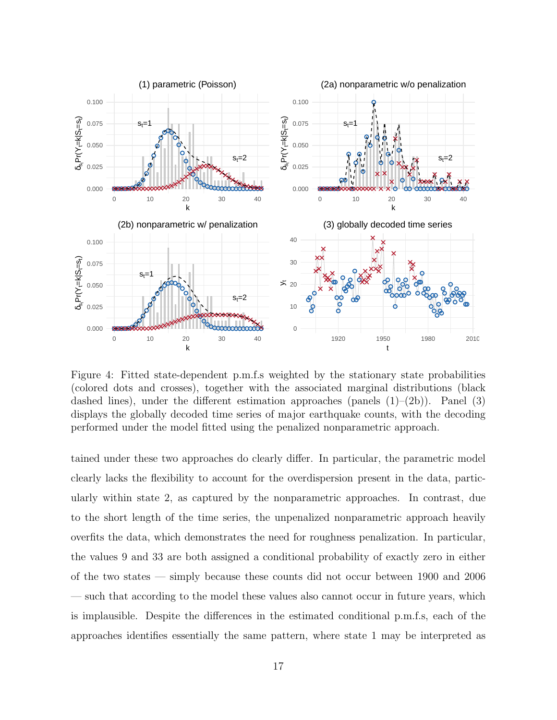

<span id="page-16-0"></span>Figure 4: Fitted state-dependent p.m.f.s weighted by the stationary state probabilities (colored dots and crosses), together with the associated marginal distributions (black dashed lines), under the different estimation approaches (panels  $(1)-(2b)$ ). Panel  $(3)$ displays the globally decoded time series of major earthquake counts, with the decoding performed under the model fitted using the penalized nonparametric approach.

tained under these two approaches do clearly differ. In particular, the parametric model clearly lacks the flexibility to account for the overdispersion present in the data, particularly within state 2, as captured by the nonparametric approaches. In contrast, due to the short length of the time series, the unpenalized nonparametric approach heavily overfits the data, which demonstrates the need for roughness penalization. In particular, the values 9 and 33 are both assigned a conditional probability of exactly zero in either of the two states — simply because these counts did not occur between 1900 and 2006 such that according to the model these values also cannot occur in future years, which is implausible. Despite the differences in the estimated conditional p.m.f.s, each of the approaches identifies essentially the same pattern, where state 1 may be interpreted as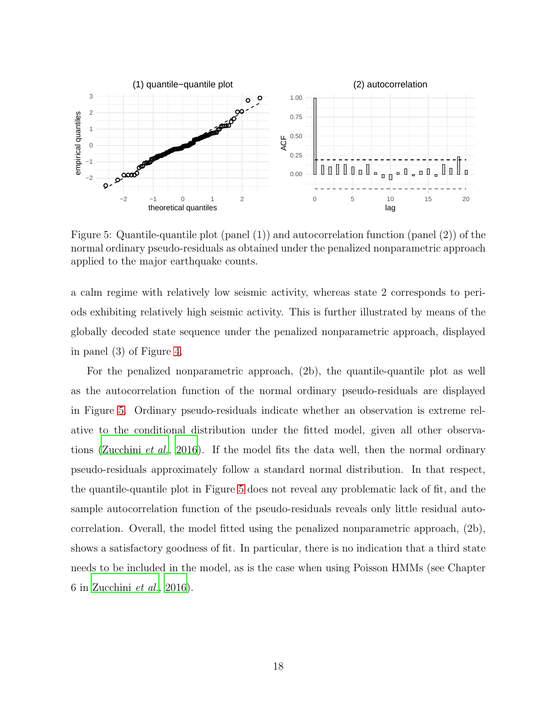

<span id="page-17-0"></span>Figure 5: Quantile-quantile plot (panel (1)) and autocorrelation function (panel (2)) of the normal ordinary pseudo-residuals as obtained under the penalized nonparametric approach applied to the major earthquake counts.

a calm regime with relatively low seismic activity, whereas state 2 corresponds to periods exhibiting relatively high seismic activity. This is further illustrated by means of the globally decoded state sequence under the penalized nonparametric approach, displayed in panel (3) of Figure [4.](#page-16-0)

For the penalized nonparametric approach, (2b), the quantile-quantile plot as well as the autocorrelation function of the normal ordinary pseudo-residuals are displayed in Figure [5.](#page-17-0) Ordinary pseudo-residuals indicate whether an observation is extreme relative to the conditional distribution under the fitted model, given all other observations [\(Zucchini](#page-27-0) *et al.*, [2016](#page-27-0)). If the model fits the data well, then the normal ordinary pseudo-residuals approximately follow a standard normal distribution. In that respect, the quantile-quantile plot in Figure [5](#page-17-0) does not reveal any problematic lack of fit, and the sample autocorrelation function of the pseudo-residuals reveals only little residual autocorrelation. Overall, the model fitted using the penalized nonparametric approach, (2b), shows a satisfactory goodness of fit. In particular, there is no indication that a third state needs to be included in the model, as is the case when using Poisson HMMs (see Chapter 6 in [Zucchini](#page-27-0) *et al.*, [2016](#page-27-0)).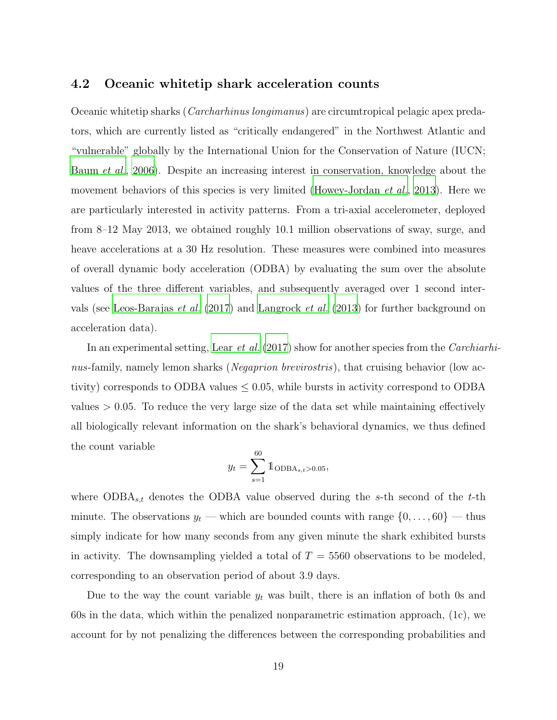### <span id="page-18-0"></span>4.2 Oceanic whitetip shark acceleration counts

Oceanic whitetip sharks (*Carcharhinus longimanus*) are circumtropical pelagic apex predators, which are currently listed as "critically endangered" in the Northwest Atlantic and "vulnerable" globally by the International Union for the Conservation of Nature (IUCN; [Baum](#page-24-6) *et al.*, [2006](#page-24-6)). Despite an increasing interest in conservation, knowledge about the movement behaviors of this species is very limited [\(Howey-Jordan](#page-24-7) *et al.*, [2013\)](#page-24-7). Here we are particularly interested in activity patterns. From a tri-axial accelerometer, deployed from 8–12 May 2013, we obtained roughly 10.1 million observations of sway, surge, and heave accelerations at a 30 Hz resolution. These measures were combined into measures of overall dynamic body acceleration (ODBA) by evaluating the sum over the absolute values of the three different variables, and subsequently averaged over 1 second intervals (see [Leos-Barajas](#page-26-7) *et al.* [\(2017\)](#page-26-7) and [Langrock](#page-25-6) *et al.* [\(2013\)](#page-25-6) for further background on acceleration data).

In an experimental setting, Lear *[et al.](#page-25-7)* [\(2017\)](#page-25-7) show for another species from the *Carchiarhinus*-family, namely lemon sharks (*Negaprion brevirostris*), that cruising behavior (low activity) corresponds to ODBA values  $\leq 0.05$ , while bursts in activity correspond to ODBA values  $> 0.05$ . To reduce the very large size of the data set while maintaining effectively all biologically relevant information on the shark's behavioral dynamics, we thus defined the count variable

$$
y_t = \sum_{s=1}^{60} 1_{\text{ODBA}_{s,t} > 0.05},
$$

where  $\text{ODBA}_{s,t}$  denotes the ODBA value observed during the s-th second of the t-th minute. The observations  $y_t$  — which are bounded counts with range  $\{0, \ldots, 60\}$  — thus simply indicate for how many seconds from any given minute the shark exhibited bursts in activity. The downsampling yielded a total of  $T = 5560$  observations to be modeled, corresponding to an observation period of about 3.9 days.

Due to the way the count variable  $y_t$  was built, there is an inflation of both 0s and 60s in the data, which within the penalized nonparametric estimation approach, (1c), we account for by not penalizing the differences between the corresponding probabilities and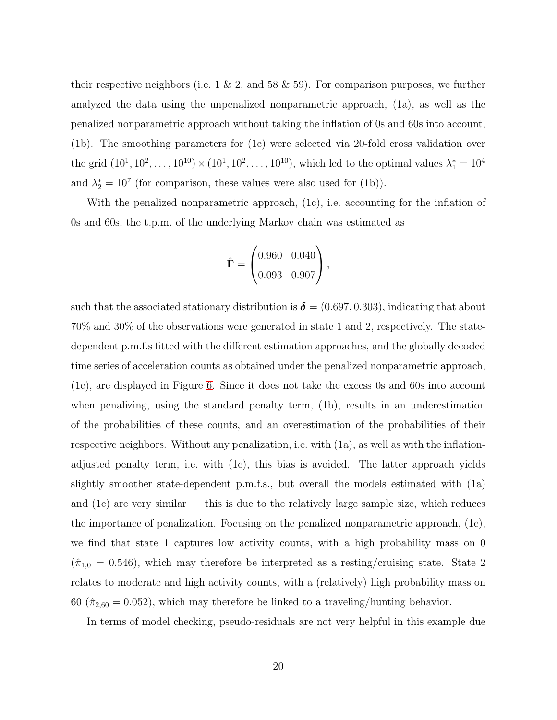their respective neighbors (i.e.  $1 \& 2$ , and  $58 \& 59$ ). For comparison purposes, we further analyzed the data using the unpenalized nonparametric approach, (1a), as well as the penalized nonparametric approach without taking the inflation of 0s and 60s into account, (1b). The smoothing parameters for (1c) were selected via 20-fold cross validation over the grid  $(10^1, 10^2, \ldots, 10^{10}) \times (10^1, 10^2, \ldots, 10^{10})$ , which led to the optimal values  $\lambda_1^* = 10^4$ and  $\lambda_2^* = 10^7$  (for comparison, these values were also used for (1b)).

With the penalized nonparametric approach, (1c), i.e. accounting for the inflation of 0s and 60s, the t.p.m. of the underlying Markov chain was estimated as

$$
\hat{\mathbf{\Gamma}} = \begin{pmatrix} 0.960 & 0.040 \\ 0.093 & 0.907 \end{pmatrix},
$$

such that the associated stationary distribution is  $\delta = (0.697, 0.303)$ , indicating that about 70% and 30% of the observations were generated in state 1 and 2, respectively. The statedependent p.m.f.s fitted with the different estimation approaches, and the globally decoded time series of acceleration counts as obtained under the penalized nonparametric approach, (1c), are displayed in Figure [6.](#page-20-0) Since it does not take the excess 0s and 60s into account when penalizing, using the standard penalty term, (1b), results in an underestimation of the probabilities of these counts, and an overestimation of the probabilities of their respective neighbors. Without any penalization, i.e. with (1a), as well as with the inflationadjusted penalty term, i.e. with (1c), this bias is avoided. The latter approach yields slightly smoother state-dependent p.m.f.s., but overall the models estimated with (1a) and  $(1c)$  are very similar — this is due to the relatively large sample size, which reduces the importance of penalization. Focusing on the penalized nonparametric approach, (1c), we find that state 1 captures low activity counts, with a high probability mass on 0  $(\hat{\pi}_{1,0} = 0.546)$ , which may therefore be interpreted as a resting/cruising state. State 2 relates to moderate and high activity counts, with a (relatively) high probability mass on 60 ( $\hat{\pi}_{2,60} = 0.052$ ), which may therefore be linked to a traveling/hunting behavior.

In terms of model checking, pseudo-residuals are not very helpful in this example due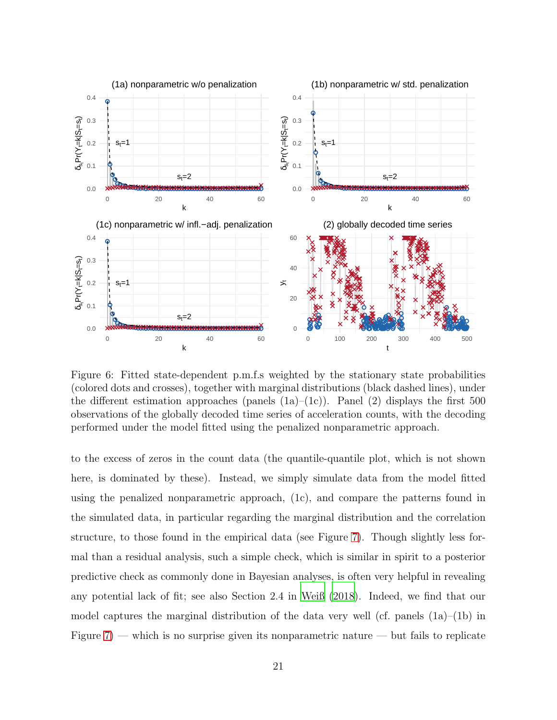

<span id="page-20-0"></span>Figure 6: Fitted state-dependent p.m.f.s weighted by the stationary state probabilities (colored dots and crosses), together with marginal distributions (black dashed lines), under the different estimation approaches (panels  $(1a)-(1c)$ ). Panel  $(2)$  displays the first 500 observations of the globally decoded time series of acceleration counts, with the decoding performed under the model fitted using the penalized nonparametric approach.

to the excess of zeros in the count data (the quantile-quantile plot, which is not shown here, is dominated by these). Instead, we simply simulate data from the model fitted using the penalized nonparametric approach, (1c), and compare the patterns found in the simulated data, in particular regarding the marginal distribution and the correlation structure, to those found in the empirical data (see Figure [7\)](#page-21-0). Though slightly less formal than a residual analysis, such a simple check, which is similar in spirit to a posterior predictive check as commonly done in Bayesian analyses, is often very helpful in revealing any potential lack of fit; see also Section 2.4 in [Weiß \(2018\)](#page-27-2). Indeed, we find that our model captures the marginal distribution of the data very well (cf. panels  $(1a)$ – $(1b)$  in Figure  $7$ ) — which is no surprise given its nonparametric nature — but fails to replicate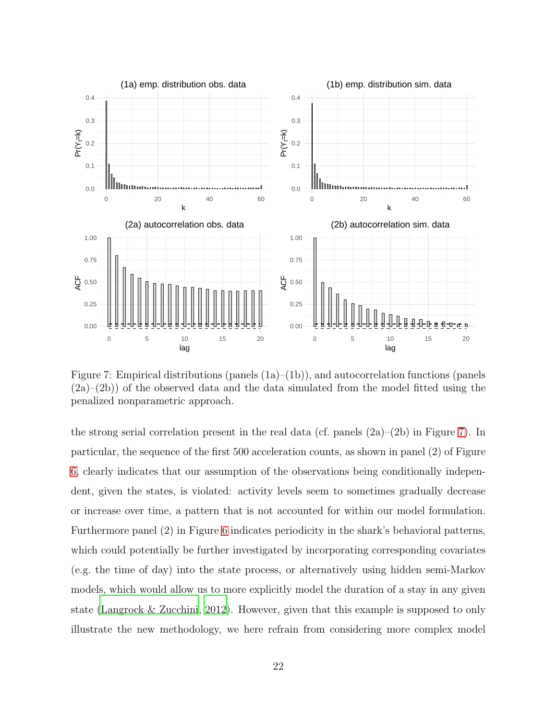

<span id="page-21-0"></span>Figure 7: Empirical distributions (panels (1a)–(1b)), and autocorrelation functions (panels (2a)–(2b)) of the observed data and the data simulated from the model fitted using the penalized nonparametric approach.

the strong serial correlation present in the real data (cf. panels  $(2a)$ – $(2b)$ ) in Figure [7\)](#page-21-0). In particular, the sequence of the first 500 acceleration counts, as shown in panel (2) of Figure [6,](#page-20-0) clearly indicates that our assumption of the observations being conditionally independent, given the states, is violated: activity levels seem to sometimes gradually decrease or increase over time, a pattern that is not accounted for within our model formulation. Furthermore panel (2) in Figure [6](#page-20-0) indicates periodicity in the shark's behavioral patterns, which could potentially be further investigated by incorporating corresponding covariates (e.g. the time of day) into the state process, or alternatively using hidden semi-Markov models, which would allow us to more explicitly model the duration of a stay in any given state [\(Langrock & Zucchini](#page-25-8), [2012\)](#page-25-8). However, given that this example is supposed to only illustrate the new methodology, we here refrain from considering more complex model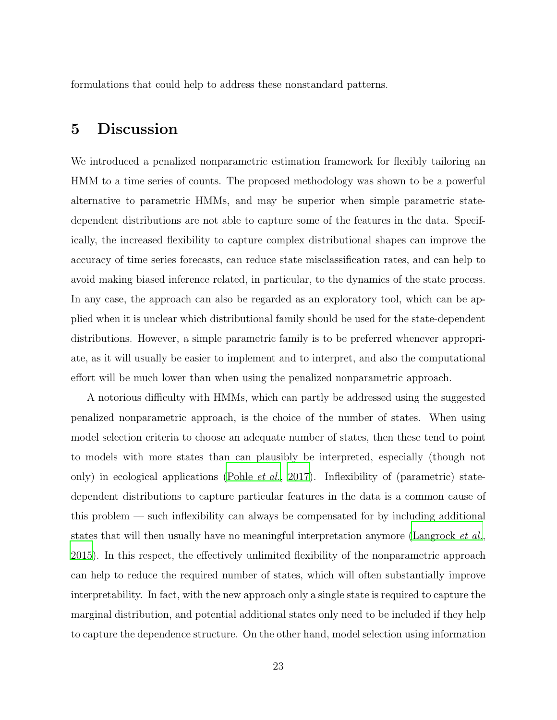formulations that could help to address these nonstandard patterns.

## 5 Discussion

We introduced a penalized nonparametric estimation framework for flexibly tailoring an HMM to a time series of counts. The proposed methodology was shown to be a powerful alternative to parametric HMMs, and may be superior when simple parametric statedependent distributions are not able to capture some of the features in the data. Specifically, the increased flexibility to capture complex distributional shapes can improve the accuracy of time series forecasts, can reduce state misclassification rates, and can help to avoid making biased inference related, in particular, to the dynamics of the state process. In any case, the approach can also be regarded as an exploratory tool, which can be applied when it is unclear which distributional family should be used for the state-dependent distributions. However, a simple parametric family is to be preferred whenever appropriate, as it will usually be easier to implement and to interpret, and also the computational effort will be much lower than when using the penalized nonparametric approach.

A notorious difficulty with HMMs, which can partly be addressed using the suggested penalized nonparametric approach, is the choice of the number of states. When using model selection criteria to choose an adequate number of states, then these tend to point to models with more states than can plausibly be interpreted, especially (though not only) in ecological applications [\(Pohle](#page-26-8) *et al.*, [2017\)](#page-26-8). Inflexibility of (parametric) statedependent distributions to capture particular features in the data is a common cause of this problem — such inflexibility can always be compensated for by including additional states that will then usually have no meaningful interpretation anymore [\(Langrock](#page-25-5) *et al.*, [2015\)](#page-25-5). In this respect, the effectively unlimited flexibility of the nonparametric approach can help to reduce the required number of states, which will often substantially improve interpretability. In fact, with the new approach only a single state is required to capture the marginal distribution, and potential additional states only need to be included if they help to capture the dependence structure. On the other hand, model selection using information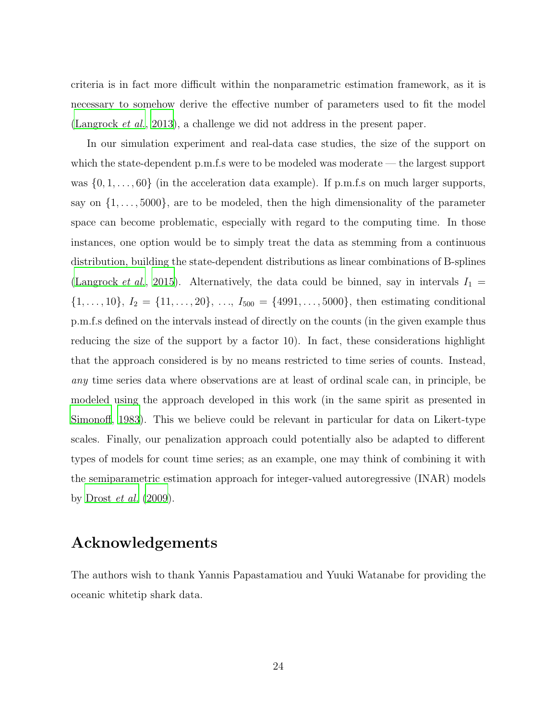criteria is in fact more difficult within the nonparametric estimation framework, as it is necessary to somehow derive the effective number of parameters used to fit the model [\(Langrock](#page-25-6) *et al.*, [2013](#page-25-6)), a challenge we did not address in the present paper.

In our simulation experiment and real-data case studies, the size of the support on which the state-dependent p.m.f.s were to be modeled was moderate — the largest support was  $\{0, 1, \ldots, 60\}$  (in the acceleration data example). If p.m.f.s on much larger supports, say on  $\{1, \ldots, 5000\}$ , are to be modeled, then the high dimensionality of the parameter space can become problematic, especially with regard to the computing time. In those instances, one option would be to simply treat the data as stemming from a continuous distribution, building the state-dependent distributions as linear combinations of B-splines [\(Langrock](#page-25-5) *et al.*, [2015\)](#page-25-5). Alternatively, the data could be binned, say in intervals  $I_1 =$  $\{1, \ldots, 10\}, I_2 = \{11, \ldots, 20\}, \ldots, I_{500} = \{4991, \ldots, 5000\},\$ then estimating conditional p.m.f.s defined on the intervals instead of directly on the counts (in the given example thus reducing the size of the support by a factor 10). In fact, these considerations highlight that the approach considered is by no means restricted to time series of counts. Instead, *any* time series data where observations are at least of ordinal scale can, in principle, be modeled using the approach developed in this work (in the same spirit as presented in [Simonoff, 1983\)](#page-27-5). This we believe could be relevant in particular for data on Likert-type scales. Finally, our penalization approach could potentially also be adapted to different types of models for count time series; as an example, one may think of combining it with the semiparametric estimation approach for integer-valued autoregressive (INAR) models by [Drost](#page-24-8) *et al.* [\(2009\)](#page-24-8).

## Acknowledgements

The authors wish to thank Yannis Papastamatiou and Yuuki Watanabe for providing the oceanic whitetip shark data.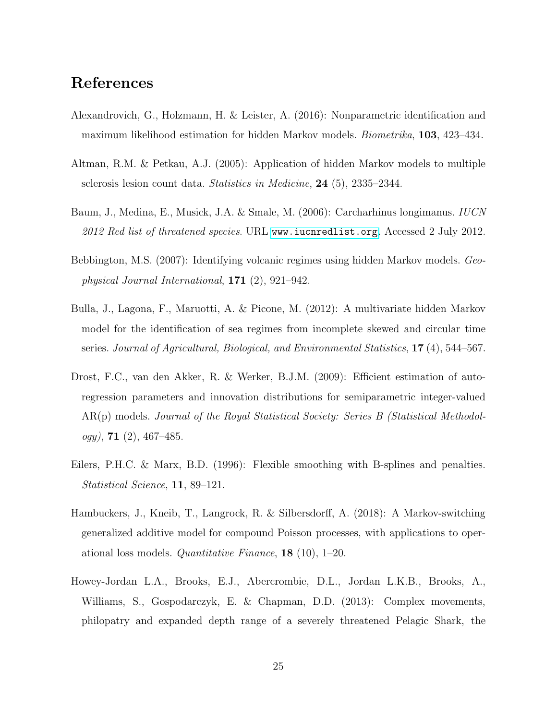# References

- <span id="page-24-5"></span>Alexandrovich, G., Holzmann, H. & Leister, A. (2016): Nonparametric identification and maximum likelihood estimation for hidden Markov models. *Biometrika*, 103, 423–434.
- <span id="page-24-3"></span>Altman, R.M. & Petkau, A.J. (2005): Application of hidden Markov models to multiple sclerosis lesion count data. *Statistics in Medicine*, 24 (5), 2335–2344.
- <span id="page-24-6"></span>Baum, J., Medina, E., Musick, J.A. & Smale, M. (2006): Carcharhinus longimanus. *IUCN 2012 Red list of threatened species*. URL <www.iucnredlist.org>. Accessed 2 July 2012.
- <span id="page-24-0"></span>Bebbington, M.S. (2007): Identifying volcanic regimes using hidden Markov models. *Geophysical Journal International*, 171 (2), 921–942.
- <span id="page-24-1"></span>Bulla, J., Lagona, F., Maruotti, A. & Picone, M. (2012): A multivariate hidden Markov model for the identification of sea regimes from incomplete skewed and circular time series. *Journal of Agricultural, Biological, and Environmental Statistics*, 17 (4), 544–567.
- <span id="page-24-8"></span>Drost, F.C., van den Akker, R. & Werker, B.J.M. (2009): Efficient estimation of autoregression parameters and innovation distributions for semiparametric integer-valued AR(p) models. *Journal of the Royal Statistical Society: Series B (Statistical Methodology)*, 71 (2), 467–485.
- <span id="page-24-4"></span>Eilers, P.H.C. & Marx, B.D. (1996): Flexible smoothing with B-splines and penalties. *Statistical Science*, 11, 89–121.
- <span id="page-24-2"></span>Hambuckers, J., Kneib, T., Langrock, R. & Silbersdorff, A. (2018): A Markov-switching generalized additive model for compound Poisson processes, with applications to operational loss models. *Quantitative Finance*, 18 (10), 1–20.
- <span id="page-24-7"></span>Howey-Jordan L.A., Brooks, E.J., Abercrombie, D.L., Jordan L.K.B., Brooks, A., Williams, S., Gospodarczyk, E. & Chapman, D.D. (2013): Complex movements, philopatry and expanded depth range of a severely threatened Pelagic Shark, the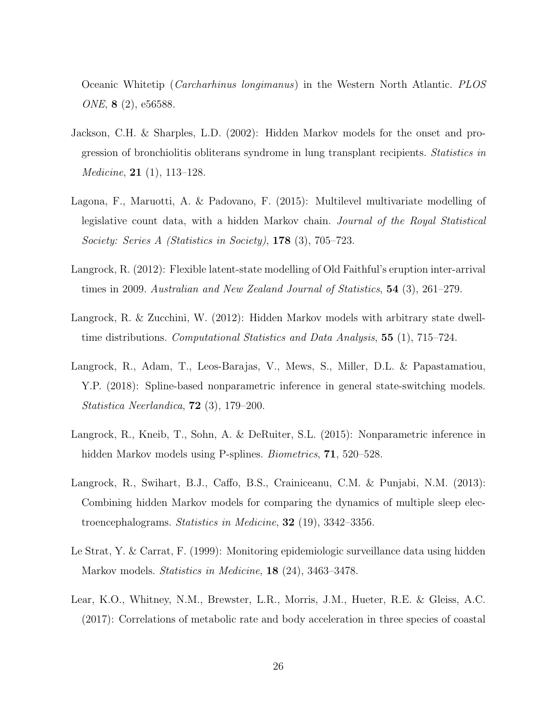Oceanic Whitetip (*Carcharhinus longimanus*) in the Western North Atlantic. *PLOS ONE*, 8 (2), e56588.

- <span id="page-25-0"></span>Jackson, C.H. & Sharples, L.D. (2002): Hidden Markov models for the onset and progression of bronchiolitis obliterans syndrome in lung transplant recipients. *Statistics in Medicine*, 21 (1), 113–128.
- <span id="page-25-3"></span>Lagona, F., Maruotti, A. & Padovano, F. (2015): Multilevel multivariate modelling of legislative count data, with a hidden Markov chain. *Journal of the Royal Statistical Society: Series A (Statistics in Society)*, 178 (3), 705–723.
- <span id="page-25-1"></span>Langrock, R. (2012): Flexible latent-state modelling of Old Faithful's eruption inter-arrival times in 2009. *Australian and New Zealand Journal of Statistics*, 54 (3), 261–279.
- <span id="page-25-8"></span>Langrock, R. & Zucchini, W. (2012): Hidden Markov models with arbitrary state dwelltime distributions. *Computational Statistics and Data Analysis*, 55 (1), 715–724.
- <span id="page-25-6"></span>Langrock, R., Adam, T., Leos-Barajas, V., Mews, S., Miller, D.L. & Papastamatiou, Y.P. (2018): Spline-based nonparametric inference in general state-switching models. *Statistica Neerlandica*, 72 (3), 179–200.
- <span id="page-25-5"></span>Langrock, R., Kneib, T., Sohn, A. & DeRuiter, S.L. (2015): Nonparametric inference in hidden Markov models using P-splines. *Biometrics*, 71, 520–528.
- <span id="page-25-2"></span>Langrock, R., Swihart, B.J., Caffo, B.S., Crainiceanu, C.M. & Punjabi, N.M. (2013): Combining hidden Markov models for comparing the dynamics of multiple sleep electroencephalograms. *Statistics in Medicine*, 32 (19), 3342–3356.
- <span id="page-25-4"></span>Le Strat, Y. & Carrat, F. (1999): Monitoring epidemiologic surveillance data using hidden Markov models. *Statistics in Medicine*, 18 (24), 3463–3478.
- <span id="page-25-7"></span>Lear, K.O., Whitney, N.M., Brewster, L.R., Morris, J.M., Hueter, R.E. & Gleiss, A.C. (2017): Correlations of metabolic rate and body acceleration in three species of coastal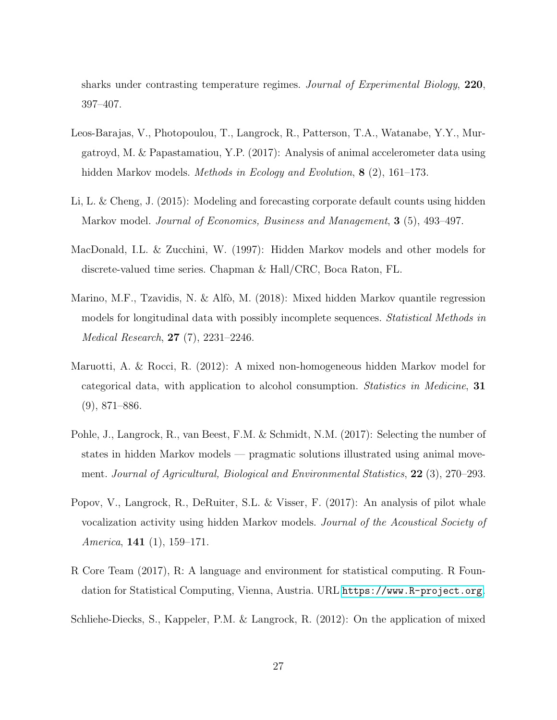sharks under contrasting temperature regimes. *Journal of Experimental Biology*, 220, 397–407.

- <span id="page-26-7"></span>Leos-Barajas, V., Photopoulou, T., Langrock, R., Patterson, T.A., Watanabe, Y.Y., Murgatroyd, M. & Papastamatiou, Y.P. (2017): Analysis of animal accelerometer data using hidden Markov models. *Methods in Ecology and Evolution*, 8 (2), 161–173.
- <span id="page-26-3"></span>Li, L. & Cheng, J. (2015): Modeling and forecasting corporate default counts using hidden Markov model. *Journal of Economics, Business and Management*, 3 (5), 493–497.
- <span id="page-26-2"></span>MacDonald, I.L. & Zucchini, W. (1997): Hidden Markov models and other models for discrete-valued time series. Chapman & Hall/CRC, Boca Raton, FL.
- <span id="page-26-5"></span>Marino, M.F., Tzavidis, N. & Alfò, M. (2018): Mixed hidden Markov quantile regression models for longitudinal data with possibly incomplete sequences. *Statistical Methods in Medical Research*, 27 (7), 2231–2246.
- <span id="page-26-1"></span>Maruotti, A. & Rocci, R. (2012): A mixed non-homogeneous hidden Markov model for categorical data, with application to alcohol consumption. *Statistics in Medicine*, 31 (9), 871–886.
- <span id="page-26-8"></span>Pohle, J., Langrock, R., van Beest, F.M. & Schmidt, N.M. (2017): Selecting the number of states in hidden Markov models — pragmatic solutions illustrated using animal movement. *Journal of Agricultural, Biological and Environmental Statistics*, 22 (3), 270–293.
- <span id="page-26-4"></span>Popov, V., Langrock, R., DeRuiter, S.L. & Visser, F. (2017): An analysis of pilot whale vocalization activity using hidden Markov models. *Journal of the Acoustical Society of America*, 141 (1), 159–171.
- <span id="page-26-6"></span>R Core Team (2017), R: A language and environment for statistical computing. R Foundation for Statistical Computing, Vienna, Austria. URL <https://www.R-project.org>.
- <span id="page-26-0"></span>Schliehe-Diecks, S., Kappeler, P.M. & Langrock, R. (2012): On the application of mixed